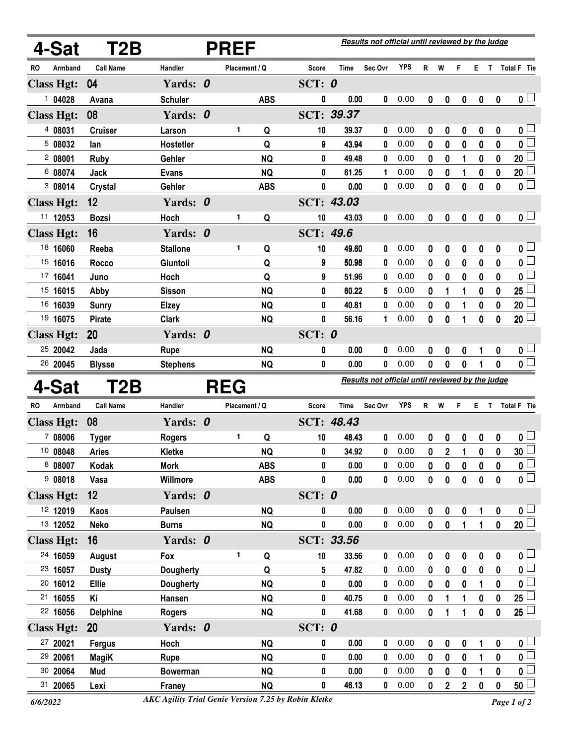| 4-Sat                | T2B              |                  | Results not official until reviewed by the judge |               |                  |            |                                                  |            |              |                |                  |                  |              |                          |
|----------------------|------------------|------------------|--------------------------------------------------|---------------|------------------|------------|--------------------------------------------------|------------|--------------|----------------|------------------|------------------|--------------|--------------------------|
| Armband<br>RO        | <b>Call Name</b> | Handler          |                                                  | Placement / Q | <b>Score</b>     | Time       | Sec Ovr                                          | <b>YPS</b> | R            | W              | F                | Е.               | $\mathsf{T}$ | Total F Tie              |
| <b>Class Hgt:</b>    | 04               | Yards: 0         |                                                  |               | SCT: $0$         |            |                                                  |            |              |                |                  |                  |              |                          |
| 104028               | Avana            | <b>Schuler</b>   |                                                  | <b>ABS</b>    | 0                | 0.00       | 0                                                | 0.00       | 0            | 0              | 0                | $\pmb{0}$        | $\bf{0}$     | $\mathbf{0}$ $\Box$      |
| <b>Class Hgt:</b>    | 08               | Yards: 0         |                                                  |               |                  | SCT: 39.37 |                                                  |            |              |                |                  |                  |              |                          |
| 4 08031              | <b>Cruiser</b>   | Larson           | 1                                                | Q             | 10               | 39.37      | 0                                                | 0.00       | 0            | 0              | 0                | 0                | 0            | 0 <sub>1</sub>           |
| 5 08032              | lan              | Hostetler        |                                                  | Q             | 9                | 43.94      | 0                                                | 0.00       | 0            | 0              | 0                | 0                | 0            | $\overline{\mathbf{0}}$  |
| 2 08001              | <b>Ruby</b>      | Gehler           |                                                  | <b>NQ</b>     | 0                | 49.48      | 0                                                | 0.00       | 0            | 0              | 1                | 0                | 0            | $\overline{20}$          |
| 6 08074              | <b>Jack</b>      | <b>Evans</b>     |                                                  | <b>NQ</b>     | 0                | 61.25      | $\mathbf 1$                                      | 0.00       | 0            | 0              | 1                | 0                | 0            | 20                       |
| 3 08014              | Crystal          | Gehler           |                                                  | <b>ABS</b>    | 0                | 0.00       | 0                                                | 0.00       | 0            | 0              | 0                | $\mathbf 0$      | 0            | $\mathfrak{o} \sqsubset$ |
| <b>Class Hgt:</b>    | 12               | Yards: 0         |                                                  |               |                  | SCT: 43.03 |                                                  |            |              |                |                  |                  |              |                          |
| 11 12053             | <b>Bozsi</b>     | Hoch             | 1                                                | Q             | 10               | 43.03      | 0                                                | 0.00       | 0            | 0              | 0                | 0                | $\mathbf 0$  | $\mathfrak{o} \sqcup$    |
| <b>Class Hgt:</b>    | 16               | Yards: 0         |                                                  |               | <b>SCT: 49.6</b> |            |                                                  |            |              |                |                  |                  |              |                          |
| 18 16060             | Reeba            | <b>Stallone</b>  | 1                                                | Q             | 10               | 49.60      | 0                                                | 0.00       | 0            | 0              | 0                | 0                | 0            | 0 <sub>1</sub>           |
| 15 16016             | Rocco            | Giuntoli         |                                                  | Q             | 9                | 50.98      | 0                                                | 0.00       | 0            | 0              | 0                | 0                | 0            | $\overline{\mathbf{0}}$  |
| 17 16041             | Juno             | Hoch             |                                                  | Q             | 9                | 51.96      | 0                                                | 0.00       | 0            | 0              | 0                | 0                | 0            | 0 L                      |
| 15 16015             | Abby             | <b>Sisson</b>    |                                                  | <b>NQ</b>     | 0                | 60.22      | 5                                                | 0.00       | 0            | 1              | 1                | 0                | 0            | 25                       |
| 16 16039             | <b>Sunry</b>     | <b>Elzey</b>     |                                                  | <b>NQ</b>     | 0                | 40.81      | 0                                                | 0.00       | 0            | 0              | 1                | 0                | 0            | 20                       |
| 19 16075             | <b>Pirate</b>    | <b>Clark</b>     |                                                  | <b>NQ</b>     | 0                | 56.16      | 1                                                | 0.00       | 0            | 0              | 1                | $\mathbf 0$      | 0            | 20 <sup>2</sup>          |
| <b>Class Hgt:</b>    | 20               | Yards: 0         |                                                  |               | SCT: 0           |            |                                                  |            |              |                |                  |                  |              |                          |
| 25 20042             | Jada             | <b>Rupe</b>      |                                                  | <b>NQ</b>     | 0                | 0.00       | 0                                                | 0.00       | 0            | 0              | 0                | 1                | 0            | 0 <sub>1</sub>           |
| 26 20045             | <b>Blysse</b>    | <b>Stephens</b>  |                                                  | <b>NQ</b>     | 0                | 0.00       | 0                                                | 0.00       | 0            | 0              | $\mathbf 0$      | 1                | 0            | $\overline{\mathbf{0}}$  |
| 4-Sat                | T2B              |                  | <b>REG</b>                                       |               |                  |            | Results not official until reviewed by the judge |            |              |                |                  |                  |              |                          |
| <b>RO</b><br>Armband | <b>Call Name</b> | Handler          |                                                  | Placement / Q | <b>Score</b>     | Time       | Sec Ovr                                          | <b>YPS</b> | $\mathsf{R}$ | W              | F                | Е                | T            | Total F Tie              |
| <b>Class Hgt:</b>    | 08               | Yards: 0         |                                                  |               |                  | SCT: 48.43 |                                                  |            |              |                |                  |                  |              |                          |
| 7 08006              | Tyger            | <b>Rogers</b>    | 1                                                | Q             | 10               | 48.43      | 0                                                | 0.00       | 0            | 0              | 0                | 0                | 0            | 0 <sub>1</sub>           |
| 10 08048             | <b>Aries</b>     | Kletke           |                                                  | <b>NQ</b>     | 0                | 34.92      | 0                                                | 0.00       | 0            | $\overline{2}$ | 1                | $\mathbf 0$      | 0            | 30 <sup>2</sup>          |
| 8 08007              | Kodak            | <b>Mork</b>      |                                                  | <b>ABS</b>    | 0                | 0.00       | 0                                                | 0.00       | 0            | 0              | $\mathbf 0$      | 0                | 0            | 0 <sub>1</sub>           |
| 908018               | Vasa             | Willmore         |                                                  | <b>ABS</b>    | 0                | 0.00       | 0                                                | 0.00       | $\mathbf 0$  | $\pmb{0}$      | $\pmb{0}$        | $\pmb{0}$        | $\mathbf 0$  | $\overline{\mathbf{0}}$  |
| <b>Class Hgt:</b>    | 12               | Yards: 0         |                                                  |               | SCT: $0$         |            |                                                  |            |              |                |                  |                  |              |                          |
| 12 12019             | Kaos             | Paulsen          |                                                  | <b>NQ</b>     | 0                | 0.00       | 0                                                | 0.00       | $\mathbf 0$  | $\pmb{0}$      | $\pmb{0}$        | 1                | $\mathbf 0$  | 0 <sub>0</sub>           |
| 13 12052             | <b>Neko</b>      | <b>Burns</b>     |                                                  | <b>NQ</b>     | 0                | 0.00       | 0                                                | 0.00       | $\pmb{0}$    | $\pmb{0}$      | 1                | 1                | 0            | $20$ $\Box$              |
| <b>Class Hgt:</b>    | 16               | Yards: 0         |                                                  |               |                  | SCT: 33.56 |                                                  |            |              |                |                  |                  |              |                          |
| 24 16059             | August           | Fox              | 1                                                | Q             | 10               | 33.56      | 0                                                | 0.00       | 0            | $\pmb{0}$      | $\pmb{0}$        | $\pmb{0}$        | $\mathbf 0$  | 0 <sub>0</sub>           |
| 23 16057             | <b>Dusty</b>     | Dougherty        |                                                  | Q             | 5                | 47.82      | $\mathbf 0$                                      | 0.00       | $\mathbf 0$  | $\pmb{0}$      | $\mathbf 0$      | $\mathbf 0$      | 0            | $\overline{\mathbf{0}}$  |
| 20 16012             | <b>Ellie</b>     | <b>Dougherty</b> |                                                  | <b>NQ</b>     | 0                | 0.00       | 0                                                | 0.00       | 0            | 0              | $\boldsymbol{0}$ | 1                | 0            | $\overline{\mathbf{0}}$  |
| 21 16055             | Κi               | Hansen           |                                                  | <b>NQ</b>     | 0                | 40.75      | 0                                                | 0.00       | $\bf{0}$     | 1              | 1                | $\boldsymbol{0}$ | 0            | $25\perp$                |
| 22 16056             | <b>Delphine</b>  | <b>Rogers</b>    |                                                  | <b>NQ</b>     | 0                | 41.68      | 0                                                | 0.00       | 0            | 1              | 1                | 0                | 0            | $25$ $-$                 |
| <b>Class Hgt:</b>    | <b>20</b>        | Yards: 0         |                                                  |               | SCT: $0$         |            |                                                  |            |              |                |                  |                  |              |                          |
| 27 20021             | Fergus           | Hoch             |                                                  | <b>NQ</b>     | 0                | 0.00       | $\mathbf 0$                                      | 0.00       | $\mathbf 0$  | 0              | $\pmb{0}$        | 1                | 0            | 0 <sub>1</sub>           |
| 29 20061             | <b>MagiK</b>     | Rupe             |                                                  | <b>NQ</b>     | 0                | 0.00       | 0                                                | 0.00       | 0            | 0              | $\mathbf 0$      |                  | 0            | $\mathfrak{o} \square$   |
| 30 20064             | Mud              | <b>Bowerman</b>  |                                                  | <b>NQ</b>     | 0                | 0.00       | 0                                                | 0.00       | $\mathbf 0$  | 0              | 0                | 1                | 0            | 0 <sub>0</sub>           |
| 31 20065             | Lexi             | Franey           |                                                  | <b>NQ</b>     | 0                | 46.13      | 0                                                | 0.00       | 0            | 2              | $\overline{2}$   | 0                | 0            | $\overline{50}$          |